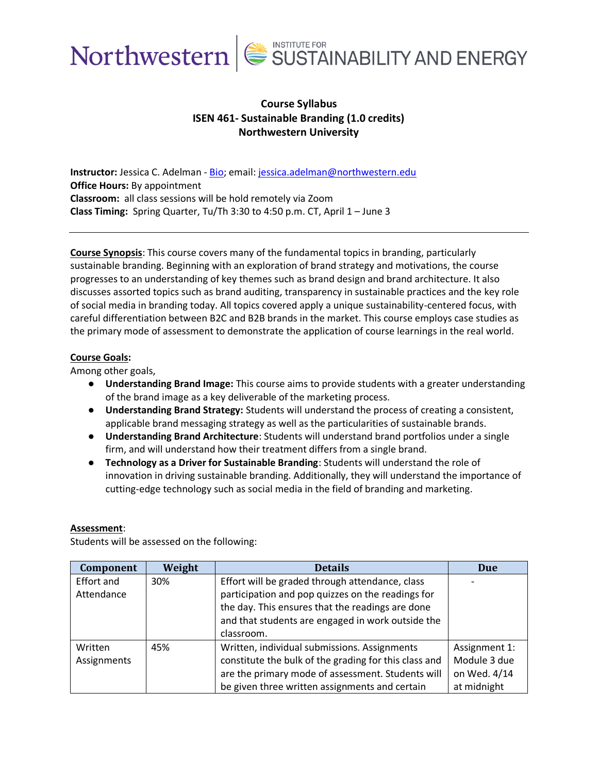

# **Course Syllabus ISEN 461- Sustainable Branding (1.0 credits) Northwestern University**

**Instructor:** Jessica C. Adelman - [Bio;](https://isen.northwestern.edu/jessica-c-adelman) email[: jessica.adelman@northwestern.edu](mailto:jessica.adelman@northwestern.edu) **Office Hours:** By appointment **Classroom:** all class sessions will be hold remotely via Zoom **Class Timing:** Spring Quarter, Tu/Th 3:30 to 4:50 p.m. CT, April 1 – June 3

**Course Synopsis**: This course covers many of the fundamental topics in branding, particularly sustainable branding. Beginning with an exploration of brand strategy and motivations, the course progresses to an understanding of key themes such as brand design and brand architecture. It also discusses assorted topics such as brand auditing, transparency in sustainable practices and the key role of social media in branding today. All topics covered apply a unique sustainability-centered focus, with careful differentiation between B2C and B2B brands in the market. This course employs case studies as the primary mode of assessment to demonstrate the application of course learnings in the real world.

## **Course Goals:**

Among other goals,

- **Understanding Brand Image:** This course aims to provide students with a greater understanding of the brand image as a key deliverable of the marketing process.
- **Understanding Brand Strategy:** Students will understand the process of creating a consistent, applicable brand messaging strategy as well as the particularities of sustainable brands.
- **Understanding Brand Architecture**: Students will understand brand portfolios under a single firm, and will understand how their treatment differs from a single brand.
- **Technology as a Driver for Sustainable Branding**: Students will understand the role of innovation in driving sustainable branding. Additionally, they will understand the importance of cutting-edge technology such as social media in the field of branding and marketing.

#### **Assessment**:

Students will be assessed on the following:

| Component   | Weight | <b>Details</b>                                        | <b>Due</b>    |
|-------------|--------|-------------------------------------------------------|---------------|
| Effort and  | 30%    | Effort will be graded through attendance, class       |               |
| Attendance  |        | participation and pop quizzes on the readings for     |               |
|             |        | the day. This ensures that the readings are done      |               |
|             |        | and that students are engaged in work outside the     |               |
|             |        | classroom.                                            |               |
| Written     | 45%    | Written, individual submissions. Assignments          | Assignment 1: |
| Assignments |        | constitute the bulk of the grading for this class and | Module 3 due  |
|             |        | are the primary mode of assessment. Students will     | on Wed. 4/14  |
|             |        | be given three written assignments and certain        | at midnight   |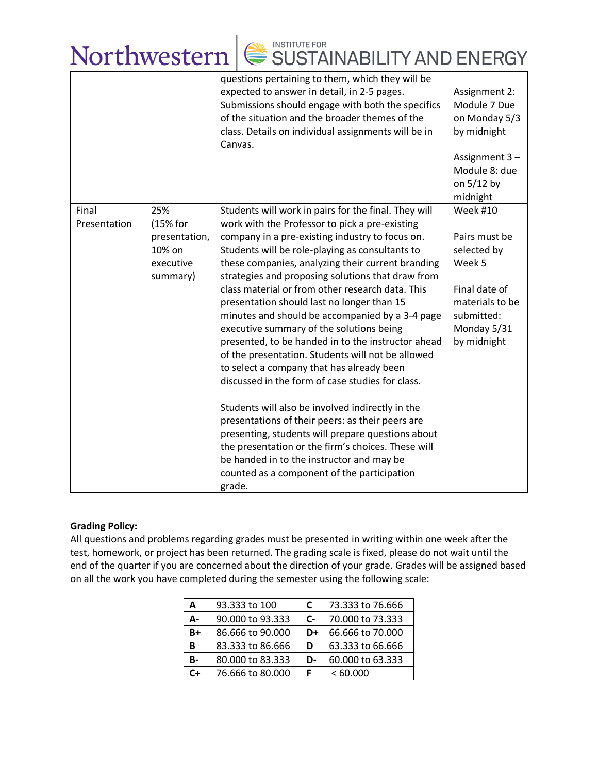|                       |                                                                     | Northwestern $\mathsf{S}$ SUSTAINABILITY AND ENERGY                                                                                                                                                                                                                                                                                                                                                                                                                                                                                                                                                                                                                                                                                                                                     |                                                                                                                                           |
|-----------------------|---------------------------------------------------------------------|-----------------------------------------------------------------------------------------------------------------------------------------------------------------------------------------------------------------------------------------------------------------------------------------------------------------------------------------------------------------------------------------------------------------------------------------------------------------------------------------------------------------------------------------------------------------------------------------------------------------------------------------------------------------------------------------------------------------------------------------------------------------------------------------|-------------------------------------------------------------------------------------------------------------------------------------------|
|                       |                                                                     | questions pertaining to them, which they will be<br>expected to answer in detail, in 2-5 pages.<br>Submissions should engage with both the specifics<br>of the situation and the broader themes of the<br>class. Details on individual assignments will be in<br>Canvas.                                                                                                                                                                                                                                                                                                                                                                                                                                                                                                                | Assignment 2:<br>Module 7 Due<br>on Monday 5/3<br>by midnight<br>Assignment 3-<br>Module 8: due<br>on 5/12 by<br>midnight                 |
| Final<br>Presentation | 25%<br>(15% for<br>presentation,<br>10% on<br>executive<br>summary) | Students will work in pairs for the final. They will<br>work with the Professor to pick a pre-existing<br>company in a pre-existing industry to focus on.<br>Students will be role-playing as consultants to<br>these companies, analyzing their current branding<br>strategies and proposing solutions that draw from<br>class material or from other research data. This<br>presentation should last no longer than 15<br>minutes and should be accompanied by a 3-4 page<br>executive summary of the solutions being<br>presented, to be handed in to the instructor ahead<br>of the presentation. Students will not be allowed<br>to select a company that has already been<br>discussed in the form of case studies for class.<br>Students will also be involved indirectly in the | <b>Week #10</b><br>Pairs must be<br>selected by<br>Week 5<br>Final date of<br>materials to be<br>submitted:<br>Monday 5/31<br>by midnight |

## **Grading Policy:**

All questions and problems regarding grades must be presented in writing within one week after the test, homework, or project has been returned. The grading scale is fixed, please do not wait until the end of the quarter if you are concerned about the direction of your grade. Grades will be assigned based on all the work you have completed during the semester using the following scale:

grade.

presentations of their peers: as their peers are presenting, students will prepare questions about the presentation or the firm's choices. These will

be handed in to the instructor and may be counted as a component of the participation

| А         | 93.333 to 100    | C    | 73.333 to 76.666 |
|-----------|------------------|------|------------------|
| А-        | 90,000 to 93,333 | $C-$ | 70,000 to 73,333 |
| B+        | 86.666 to 90.000 | D+   | 66.666 to 70,000 |
| В         | 83.333 to 86.666 | D    | 63.333 to 66.666 |
| <b>B-</b> | 80.000 to 83.333 | D-   | 60.000 to 63.333 |
| C+        | 76.666 to 80.000 | F    | <60.000          |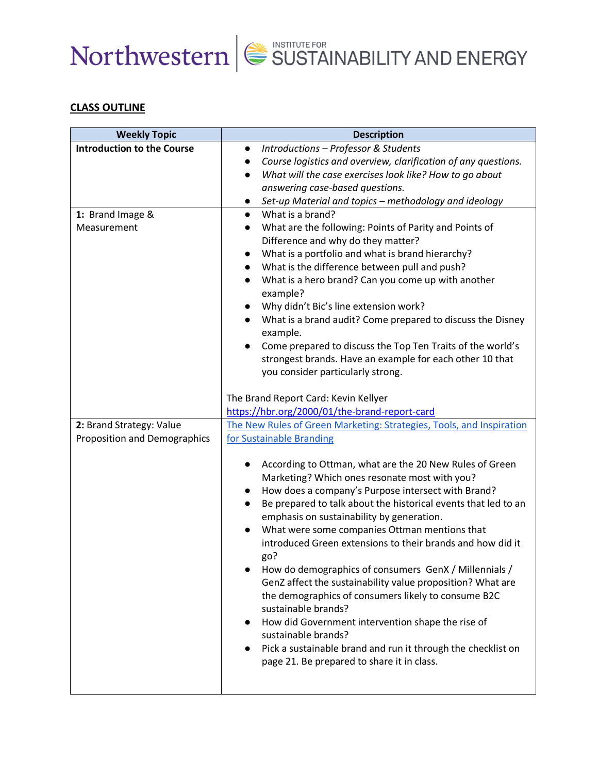

# **CLASS OUTLINE**

| <b>Weekly Topic</b>               | <b>Description</b>                                                          |
|-----------------------------------|-----------------------------------------------------------------------------|
| <b>Introduction to the Course</b> | Introductions - Professor & Students<br>$\bullet$                           |
|                                   | Course logistics and overview, clarification of any questions.              |
|                                   | What will the case exercises look like? How to go about<br>$\bullet$        |
|                                   | answering case-based questions.                                             |
|                                   | Set-up Material and topics - methodology and ideology<br>$\bullet$          |
| 1: Brand Image &                  | What is a brand?<br>$\bullet$                                               |
| Measurement                       | What are the following: Points of Parity and Points of                      |
|                                   | Difference and why do they matter?                                          |
|                                   | What is a portfolio and what is brand hierarchy?<br>$\bullet$               |
|                                   | What is the difference between pull and push?<br>$\bullet$                  |
|                                   | What is a hero brand? Can you come up with another<br>$\bullet$             |
|                                   | example?                                                                    |
|                                   | Why didn't Bic's line extension work?                                       |
|                                   | What is a brand audit? Come prepared to discuss the Disney<br>example.      |
|                                   | Come prepared to discuss the Top Ten Traits of the world's<br>$\bullet$     |
|                                   | strongest brands. Have an example for each other 10 that                    |
|                                   | you consider particularly strong.                                           |
|                                   |                                                                             |
|                                   | The Brand Report Card: Kevin Kellyer                                        |
|                                   | https://hbr.org/2000/01/the-brand-report-card                               |
| 2: Brand Strategy: Value          | The New Rules of Green Marketing: Strategies, Tools, and Inspiration        |
| Proposition and Demographics      | for Sustainable Branding                                                    |
|                                   | According to Ottman, what are the 20 New Rules of Green                     |
|                                   | $\bullet$<br>Marketing? Which ones resonate most with you?                  |
|                                   | How does a company's Purpose intersect with Brand?<br>$\bullet$             |
|                                   | Be prepared to talk about the historical events that led to an<br>$\bullet$ |
|                                   | emphasis on sustainability by generation.                                   |
|                                   | What were some companies Ottman mentions that                               |
|                                   | introduced Green extensions to their brands and how did it<br>go?           |
|                                   | How do demographics of consumers GenX / Millennials /                       |
|                                   | GenZ affect the sustainability value proposition? What are                  |
|                                   | the demographics of consumers likely to consume B2C                         |
|                                   | sustainable brands?                                                         |
|                                   | How did Government intervention shape the rise of                           |
|                                   | sustainable brands?                                                         |
|                                   | Pick a sustainable brand and run it through the checklist on                |
|                                   | page 21. Be prepared to share it in class.                                  |
|                                   |                                                                             |
|                                   |                                                                             |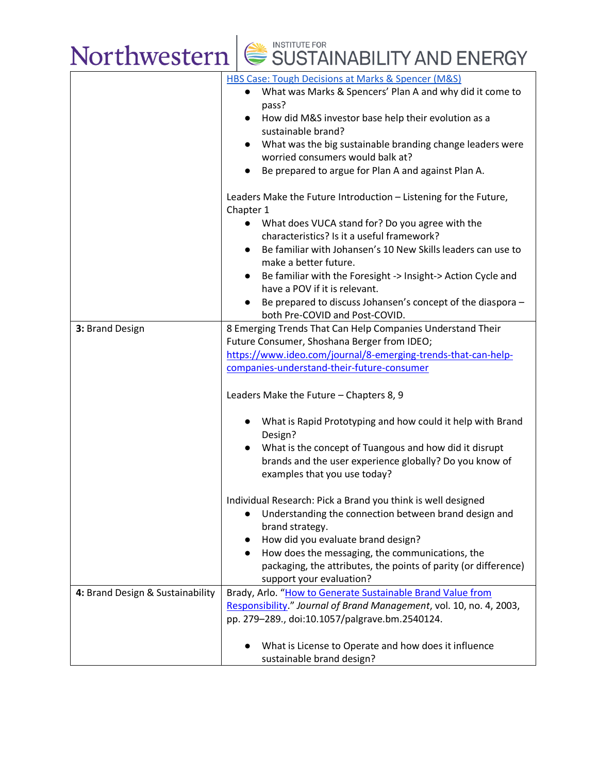

|                                  | HBS Case: Tough Decisions at Marks & Spencer (M&S)                  |
|----------------------------------|---------------------------------------------------------------------|
|                                  | What was Marks & Spencers' Plan A and why did it come to            |
|                                  | pass?                                                               |
|                                  | How did M&S investor base help their evolution as a<br>$\bullet$    |
|                                  | sustainable brand?                                                  |
|                                  | What was the big sustainable branding change leaders were           |
|                                  | worried consumers would balk at?                                    |
|                                  |                                                                     |
|                                  | Be prepared to argue for Plan A and against Plan A.                 |
|                                  | Leaders Make the Future Introduction - Listening for the Future,    |
|                                  | Chapter 1                                                           |
|                                  | What does VUCA stand for? Do you agree with the                     |
|                                  |                                                                     |
|                                  | characteristics? Is it a useful framework?                          |
|                                  | Be familiar with Johansen's 10 New Skills leaders can use to        |
|                                  | make a better future.                                               |
|                                  | Be familiar with the Foresight -> Insight-> Action Cycle and        |
|                                  | have a POV if it is relevant.                                       |
|                                  | Be prepared to discuss Johansen's concept of the diaspora -         |
|                                  | both Pre-COVID and Post-COVID.                                      |
| 3: Brand Design                  | 8 Emerging Trends That Can Help Companies Understand Their          |
|                                  | Future Consumer, Shoshana Berger from IDEO;                         |
|                                  | https://www.ideo.com/journal/8-emerging-trends-that-can-help-       |
|                                  | companies-understand-their-future-consumer                          |
|                                  |                                                                     |
|                                  | Leaders Make the Future - Chapters 8, 9                             |
|                                  |                                                                     |
|                                  | What is Rapid Prototyping and how could it help with Brand          |
|                                  | Design?                                                             |
|                                  | What is the concept of Tuangous and how did it disrupt<br>$\bullet$ |
|                                  | brands and the user experience globally? Do you know of             |
|                                  |                                                                     |
|                                  | examples that you use today?                                        |
|                                  | Individual Research: Pick a Brand you think is well designed        |
|                                  | Understanding the connection between brand design and               |
|                                  | brand strategy.                                                     |
|                                  | How did you evaluate brand design?                                  |
|                                  |                                                                     |
|                                  | How does the messaging, the communications, the                     |
|                                  | packaging, the attributes, the points of parity (or difference)     |
|                                  | support your evaluation?                                            |
| 4: Brand Design & Sustainability | Brady, Arlo. "How to Generate Sustainable Brand Value from          |
|                                  | Responsibility." Journal of Brand Management, vol. 10, no. 4, 2003, |
|                                  | pp. 279-289., doi:10.1057/palgrave.bm.2540124.                      |
|                                  |                                                                     |
|                                  | What is License to Operate and how does it influence                |
|                                  | sustainable brand design?                                           |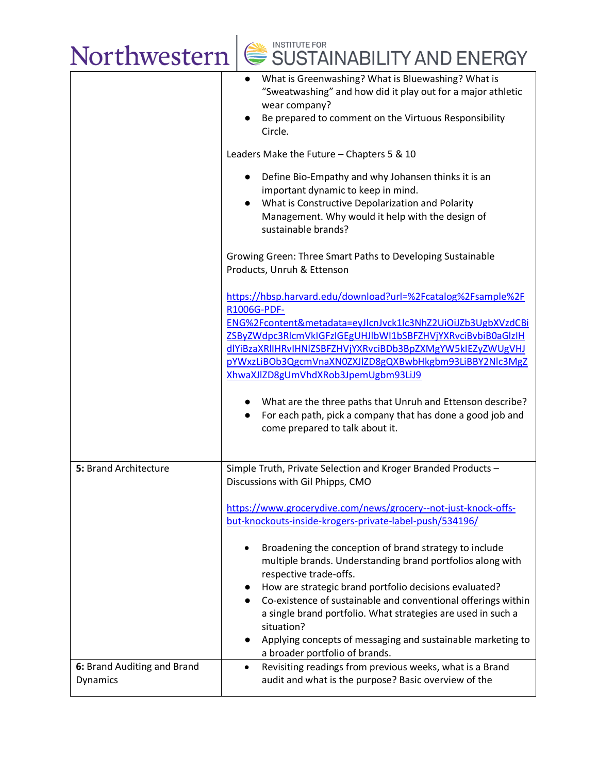

|                                         | What is Greenwashing? What is Bluewashing? What is<br>"Sweatwashing" and how did it play out for a major athletic<br>wear company?                                                                                                                                                                                                                                                                                                                                                 |
|-----------------------------------------|------------------------------------------------------------------------------------------------------------------------------------------------------------------------------------------------------------------------------------------------------------------------------------------------------------------------------------------------------------------------------------------------------------------------------------------------------------------------------------|
|                                         | Be prepared to comment on the Virtuous Responsibility<br>Circle.                                                                                                                                                                                                                                                                                                                                                                                                                   |
|                                         | Leaders Make the Future - Chapters 5 & 10                                                                                                                                                                                                                                                                                                                                                                                                                                          |
|                                         | Define Bio-Empathy and why Johansen thinks it is an<br>$\bullet$<br>important dynamic to keep in mind.<br>What is Constructive Depolarization and Polarity<br>Management. Why would it help with the design of<br>sustainable brands?                                                                                                                                                                                                                                              |
|                                         | Growing Green: Three Smart Paths to Developing Sustainable<br>Products, Unruh & Ettenson                                                                                                                                                                                                                                                                                                                                                                                           |
|                                         | https://hbsp.harvard.edu/download?url=%2Fcatalog%2Fsample%2F<br>R1006G-PDF-                                                                                                                                                                                                                                                                                                                                                                                                        |
|                                         | ENG%2Fcontent&metadata=eyJlcnJvck1lc3NhZ2UiOiJZb3UgbXVzdCBi                                                                                                                                                                                                                                                                                                                                                                                                                        |
|                                         | ZSByZWdpc3RlcmVkIGFzIGEgUHJlbWl1bSBFZHVjYXRvciBvbiB0aGlzIH                                                                                                                                                                                                                                                                                                                                                                                                                         |
|                                         | dlYiBzaXRlIHRvIHNlZSBFZHVjYXRvciBDb3BpZXMgYW5kIEZyZWUgVHJ                                                                                                                                                                                                                                                                                                                                                                                                                          |
|                                         | pYWxzLiBOb3QgcmVnaXN0ZXJlZD8gQXBwbHkgbm93LiBBY2Nlc3MgZ                                                                                                                                                                                                                                                                                                                                                                                                                             |
|                                         | XhwaXJlZD8gUmVhdXRob3JpemUgbm93LiJ9                                                                                                                                                                                                                                                                                                                                                                                                                                                |
|                                         | What are the three paths that Unruh and Ettenson describe?<br>For each path, pick a company that has done a good job and<br>come prepared to talk about it.                                                                                                                                                                                                                                                                                                                        |
| 5: Brand Architecture                   | Simple Truth, Private Selection and Kroger Branded Products -<br>Discussions with Gil Phipps, CMO                                                                                                                                                                                                                                                                                                                                                                                  |
|                                         | https://www.grocerydive.com/news/grocery--not-just-knock-offs-<br>but-knockouts-inside-krogers-private-label-push/534196/                                                                                                                                                                                                                                                                                                                                                          |
|                                         | Broadening the conception of brand strategy to include<br>multiple brands. Understanding brand portfolios along with<br>respective trade-offs.<br>How are strategic brand portfolio decisions evaluated?<br>$\bullet$<br>Co-existence of sustainable and conventional offerings within<br>$\bullet$<br>a single brand portfolio. What strategies are used in such a<br>situation?<br>Applying concepts of messaging and sustainable marketing to<br>a broader portfolio of brands. |
| 6: Brand Auditing and Brand<br>Dynamics | Revisiting readings from previous weeks, what is a Brand<br>$\bullet$<br>audit and what is the purpose? Basic overview of the                                                                                                                                                                                                                                                                                                                                                      |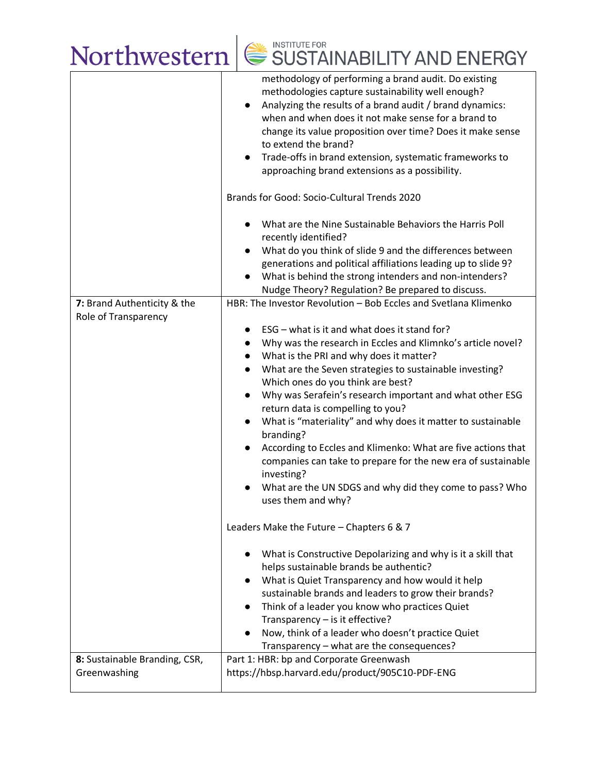# Northwestern SUSTAINABILITY AND ENERGY

|                                                     | methodology of performing a brand audit. Do existing<br>methodologies capture sustainability well enough?<br>Analyzing the results of a brand audit / brand dynamics:<br>$\bullet$<br>when and when does it not make sense for a brand to<br>change its value proposition over time? Does it make sense<br>to extend the brand?<br>Trade-offs in brand extension, systematic frameworks to<br>$\bullet$<br>approaching brand extensions as a possibility.                                                                                                                                                                                                                                                                           |
|-----------------------------------------------------|-------------------------------------------------------------------------------------------------------------------------------------------------------------------------------------------------------------------------------------------------------------------------------------------------------------------------------------------------------------------------------------------------------------------------------------------------------------------------------------------------------------------------------------------------------------------------------------------------------------------------------------------------------------------------------------------------------------------------------------|
|                                                     | Brands for Good: Socio-Cultural Trends 2020                                                                                                                                                                                                                                                                                                                                                                                                                                                                                                                                                                                                                                                                                         |
|                                                     | What are the Nine Sustainable Behaviors the Harris Poll<br>$\bullet$<br>recently identified?                                                                                                                                                                                                                                                                                                                                                                                                                                                                                                                                                                                                                                        |
|                                                     | What do you think of slide 9 and the differences between<br>generations and political affiliations leading up to slide 9?<br>What is behind the strong intenders and non-intenders?<br>Nudge Theory? Regulation? Be prepared to discuss.                                                                                                                                                                                                                                                                                                                                                                                                                                                                                            |
| 7: Brand Authenticity & the<br>Role of Transparency | HBR: The Investor Revolution - Bob Eccles and Svetlana Klimenko                                                                                                                                                                                                                                                                                                                                                                                                                                                                                                                                                                                                                                                                     |
|                                                     | ESG – what is it and what does it stand for?<br>$\bullet$<br>Why was the research in Eccles and Klimnko's article novel?<br>$\bullet$<br>What is the PRI and why does it matter?<br>What are the Seven strategies to sustainable investing?<br>$\bullet$<br>Which ones do you think are best?<br>Why was Serafein's research important and what other ESG<br>$\bullet$<br>return data is compelling to you?<br>What is "materiality" and why does it matter to sustainable<br>$\bullet$<br>branding?<br>According to Eccles and Klimenko: What are five actions that<br>companies can take to prepare for the new era of sustainable<br>investing?<br>What are the UN SDGS and why did they come to pass? Who<br>uses them and why? |
|                                                     | Leaders Make the Future - Chapters 6 & 7                                                                                                                                                                                                                                                                                                                                                                                                                                                                                                                                                                                                                                                                                            |
|                                                     | What is Constructive Depolarizing and why is it a skill that<br>helps sustainable brands be authentic?<br>What is Quiet Transparency and how would it help<br>sustainable brands and leaders to grow their brands?<br>Think of a leader you know who practices Quiet<br>$\bullet$<br>Transparency - is it effective?<br>Now, think of a leader who doesn't practice Quiet<br>Transparency - what are the consequences?                                                                                                                                                                                                                                                                                                              |
| 8: Sustainable Branding, CSR,                       | Part 1: HBR: bp and Corporate Greenwash<br>https://hbsp.harvard.edu/product/905C10-PDF-ENG                                                                                                                                                                                                                                                                                                                                                                                                                                                                                                                                                                                                                                          |
| Greenwashing                                        |                                                                                                                                                                                                                                                                                                                                                                                                                                                                                                                                                                                                                                                                                                                                     |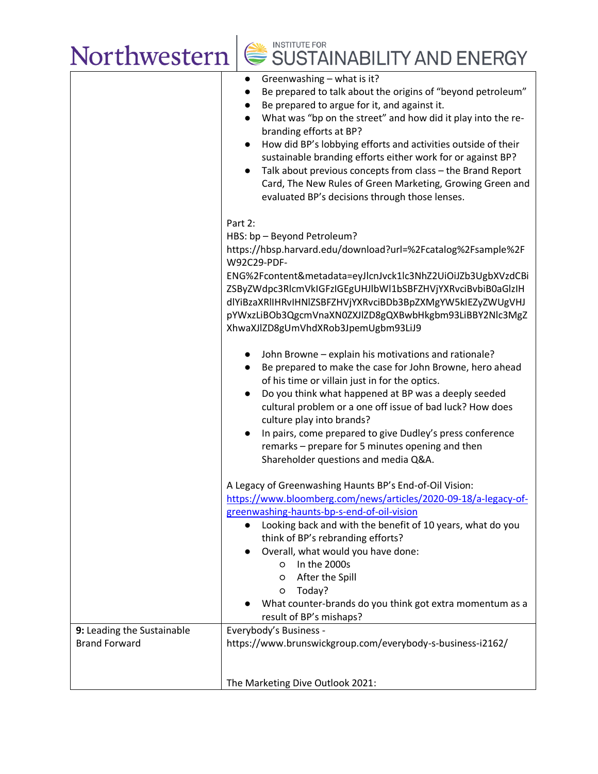# Northwestern SUSTAINABILITY AND ENERGY

|                                                    | Greenwashing - what is it?<br>$\bullet$<br>Be prepared to talk about the origins of "beyond petroleum"<br>$\bullet$<br>Be prepared to argue for it, and against it.<br>$\bullet$<br>What was "bp on the street" and how did it play into the re-<br>$\bullet$<br>branding efforts at BP?<br>How did BP's lobbying efforts and activities outside of their<br>$\bullet$<br>sustainable branding efforts either work for or against BP?<br>Talk about previous concepts from class - the Brand Report<br>$\bullet$<br>Card, The New Rules of Green Marketing, Growing Green and<br>evaluated BP's decisions through those lenses. |
|----------------------------------------------------|---------------------------------------------------------------------------------------------------------------------------------------------------------------------------------------------------------------------------------------------------------------------------------------------------------------------------------------------------------------------------------------------------------------------------------------------------------------------------------------------------------------------------------------------------------------------------------------------------------------------------------|
|                                                    | Part 2:<br>HBS: bp - Beyond Petroleum?<br>https://hbsp.harvard.edu/download?url=%2Fcatalog%2Fsample%2F<br>W92C29-PDF-<br>ENG%2Fcontent&metadata=eyJlcnJvck1lc3NhZ2UiOiJZb3UgbXVzdCBi<br>ZSByZWdpc3RlcmVkIGFzIGEgUHJlbWl1bSBFZHVjYXRvciBvbiB0aGlzIH<br>dlYiBzaXRlIHRvIHNlZSBFZHVjYXRvciBDb3BpZXMgYW5kIEZyZWUgVHJ<br>pYWxzLiBOb3QgcmVnaXN0ZXJlZD8gQXBwbHkgbm93LiBBY2Nlc3MgZ<br>XhwaXJlZD8gUmVhdXRob3JpemUgbm93LiJ9                                                                                                                                                                                                                |
|                                                    | John Browne - explain his motivations and rationale?<br>Be prepared to make the case for John Browne, hero ahead<br>$\bullet$<br>of his time or villain just in for the optics.<br>Do you think what happened at BP was a deeply seeded<br>$\bullet$<br>cultural problem or a one off issue of bad luck? How does<br>culture play into brands?<br>In pairs, come prepared to give Dudley's press conference<br>$\bullet$<br>remarks - prepare for 5 minutes opening and then<br>Shareholder questions and media Q&A.                                                                                                            |
|                                                    | A Legacy of Greenwashing Haunts BP's End-of-Oil Vision:<br>https://www.bloomberg.com/news/articles/2020-09-18/a-legacy-of-<br>greenwashing-haunts-bp-s-end-of-oil-vision<br>Looking back and with the benefit of 10 years, what do you<br>think of BP's rebranding efforts?<br>Overall, what would you have done:<br>In the 2000s<br>$\circ$<br>After the Spill<br>$\circ$<br>Today?<br>$\circ$<br>What counter-brands do you think got extra momentum as a<br>result of BP's mishaps?                                                                                                                                          |
| 9: Leading the Sustainable<br><b>Brand Forward</b> | Everybody's Business -<br>https://www.brunswickgroup.com/everybody-s-business-i2162/                                                                                                                                                                                                                                                                                                                                                                                                                                                                                                                                            |
|                                                    | The Marketing Dive Outlook 2021:                                                                                                                                                                                                                                                                                                                                                                                                                                                                                                                                                                                                |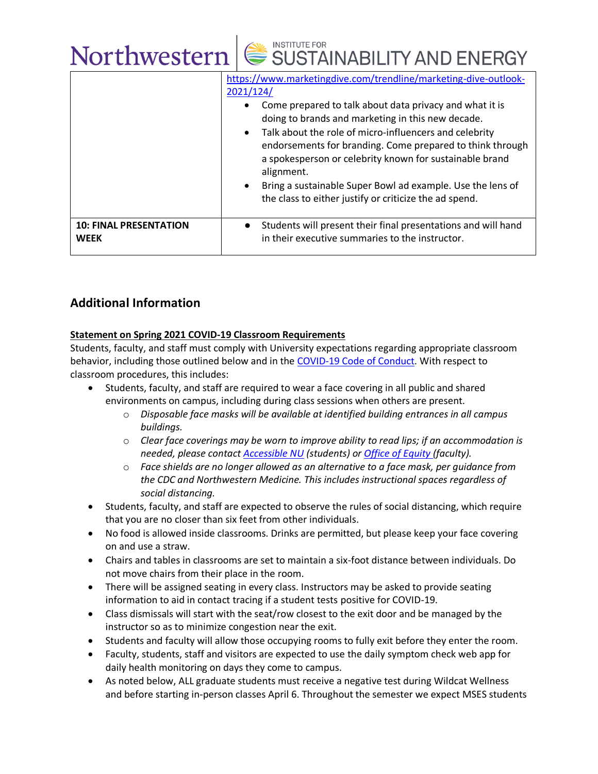|                                              | Northwestern   SUSTAINABILITY AND ENERGY                                                                                                                                                                                                                                                                                                                                                                                                                                                                                                       |
|----------------------------------------------|------------------------------------------------------------------------------------------------------------------------------------------------------------------------------------------------------------------------------------------------------------------------------------------------------------------------------------------------------------------------------------------------------------------------------------------------------------------------------------------------------------------------------------------------|
|                                              | https://www.marketingdive.com/trendline/marketing-dive-outlook-<br>2021/124/<br>Come prepared to talk about data privacy and what it is<br>doing to brands and marketing in this new decade.<br>Talk about the role of micro-influencers and celebrity<br>$\bullet$<br>endorsements for branding. Come prepared to think through<br>a spokesperson or celebrity known for sustainable brand<br>alignment.<br>Bring a sustainable Super Bowl ad example. Use the lens of<br>$\bullet$<br>the class to either justify or criticize the ad spend. |
| <b>10: FINAL PRESENTATION</b><br><b>WEEK</b> | Students will present their final presentations and will hand<br>in their executive summaries to the instructor.                                                                                                                                                                                                                                                                                                                                                                                                                               |

# **Additional Information**

# **Statement on Spring 2021 COVID-19 Classroom Requirements**

Students, faculty, and staff must comply with University expectations regarding appropriate classroom behavior, including those outlined below and in the [COVID-19 Code of Conduct.](https://www.northwestern.edu/communitystandards/about-us/northwestern-university-student-expectations-covid-19-code-of-conduct.html) With respect to classroom procedures, this includes:

- Students, faculty, and staff are required to wear a face covering in all public and shared environments on campus, including during class sessions when others are present.
	- o *Disposable face masks will be available at identified building entrances in all campus buildings.*
	- o *Clear face coverings may be worn to improve ability to read lips; if an accommodation is needed, please contact [Accessible NU](https://www.northwestern.edu/accessiblenu/) (students) or [Office of Equity](https://www.northwestern.edu/equity/) (faculty).*
	- o *Face shields are no longer allowed as an alternative to a face mask, per guidance from the CDC and Northwestern Medicine. This includes instructional spaces regardless of social distancing.*
- Students, faculty, and staff are expected to observe the rules of social distancing, which require that you are no closer than six feet from other individuals.
- No food is allowed inside classrooms. Drinks are permitted, but please keep your face covering on and use a straw.
- Chairs and tables in classrooms are set to maintain a six-foot distance between individuals. Do not move chairs from their place in the room.
- There will be assigned seating in every class. Instructors may be asked to provide seating information to aid in contact tracing if a student tests positive for COVID-19.
- Class dismissals will start with the seat/row closest to the exit door and be managed by the instructor so as to minimize congestion near the exit.
- Students and faculty will allow those occupying rooms to fully exit before they enter the room.
- Faculty, students, staff and visitors are expected to use the daily symptom check web app for daily health monitoring on days they come to campus.
- As noted below, ALL graduate students must receive a negative test during Wildcat Wellness and before starting in-person classes April 6. Throughout the semester we expect MSES students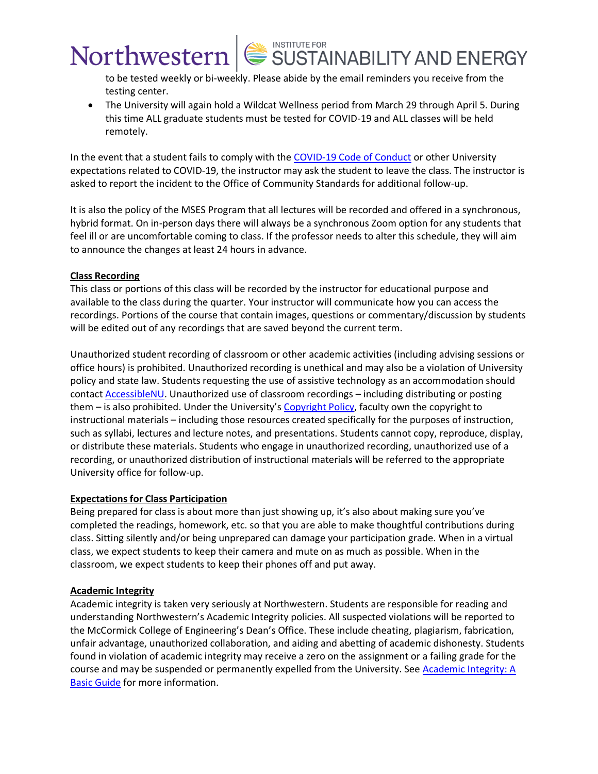# Northwestern SUSTAINABILITY AND ENERGY

to be tested weekly or bi-weekly. Please abide by the email reminders you receive from the testing center.

• The University will again hold a Wildcat Wellness period from March 29 through April 5. During this time ALL graduate students must be tested for COVID-19 and ALL classes will be held remotely.

In the event that a student fails to comply with the [COVID-19 Code of Conduct](https://www.northwestern.edu/communitystandards/about-us/northwestern-university-student-expectations-covid-19-code-of-conduct.html) or other University expectations related to COVID-19, the instructor may ask the student to leave the class. The instructor is asked to report the incident to the Office of Community Standards for additional follow-up.

It is also the policy of the MSES Program that all lectures will be recorded and offered in a synchronous, hybrid format. On in-person days there will always be a synchronous Zoom option for any students that feel ill or are uncomfortable coming to class. If the professor needs to alter this schedule, they will aim to announce the changes at least 24 hours in advance.

### **Class Recording**

This class or portions of this class will be recorded by the instructor for educational purpose and available to the class during the quarter. Your instructor will communicate how you can access the recordings. Portions of the course that contain images, questions or commentary/discussion by students will be edited out of any recordings that are saved beyond the current term.

Unauthorized student recording of classroom or other academic activities (including advising sessions or office hours) is prohibited. Unauthorized recording is unethical and may also be a violation of University policy and state law. Students requesting the use of assistive technology as an accommodation should contact [AccessibleNU.](https://www.northwestern.edu/accessiblenu/) Unauthorized use of classroom recordings – including distributing or posting them – is also prohibited. Under the University's [Copyright Policy,](https://www.invo.northwestern.edu/invention-disclosure/policies-forms/copyright-policy/) faculty own the copyright to instructional materials – including those resources created specifically for the purposes of instruction, such as syllabi, lectures and lecture notes, and presentations. Students cannot copy, reproduce, display, or distribute these materials. Students who engage in unauthorized recording, unauthorized use of a recording, or unauthorized distribution of instructional materials will be referred to the appropriate University office for follow-up.

#### **Expectations for Class Participation**

Being prepared for class is about more than just showing up, it's also about making sure you've completed the readings, homework, etc. so that you are able to make thoughtful contributions during class. Sitting silently and/or being unprepared can damage your participation grade. When in a virtual class, we expect students to keep their camera and mute on as much as possible. When in the classroom, we expect students to keep their phones off and put away.

## **Academic Integrity**

Academic integrity is taken very seriously at Northwestern. Students are responsible for reading and understanding Northwestern's Academic Integrity policies. All suspected violations will be reported to the McCormick College of Engineering's Dean's Office. These include cheating, plagiarism, fabrication, unfair advantage, unauthorized collaboration, and aiding and abetting of academic dishonesty. Students found in violation of academic integrity may receive a zero on the assignment or a failing grade for the course and may be suspended or permanently expelled from the University. See Academic Integrity: A [Basic Guide](https://www.northwestern.edu/provost/policies/academic-integrity/Academic-Integrity-Guide-August-2019.pdf) for more information.